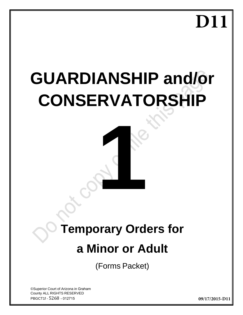# **D11**

# **GUARDIANSHIP and/or CONSERVATORSHIP**

# **Temporary Orders for**

**12 Miles** 

# **a Minor or Adult**

(Forms Packet)

©Superior Court of Arizona in Graham County ALL RIGHTS RESERVED PBGCT1f - 5268 - 012715

**09/17/2015-D11**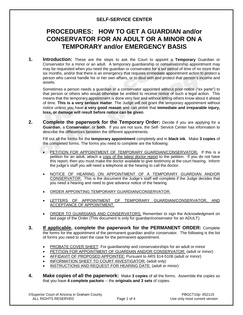# **SELF-SERVICE CENTER**

# **PROCEDURES: HOW TO GET A GUARDIAN and/or CONSERVATOR FOR AN ADULT OR A MINOR ON A TEMPORARY and/or EMERGENCY BASIS**

**1. Introduction:** These are the steps to ask the Court to appoint a **Temporary** Guardian or Conservator for a minor or an adult. A temporary guardianship or conservatorship appointment may may be requested when you need the guardian or conservator for a set period of time of no more than six months, and/or that there is an emergency that requires immediate appointment action to protect a person who cannot handle his or her own affairs, or to deal with and protect that person's income and assets.

Sometimes a person needs a guardian or a conservator appointed without prior notice ("ex parte") to that person or others who would otherwise be entitled to receive notice of such a legal action. This means that the temporary appointment is done very fast and without letting others know about it ahead of time. **This is a very serious matter**. The Judge will not grant the temporary appointment without notice unless you have **a very good reason** and can prove that **immediate and irreparable injury, loss, or damage will result before notice can be given**.

**2. Complete the paperwork for the Temporary Order:** Decide if you are applying for a **Guardian**, a **Conservator**, or **both**. If you are not sure, the Self- Service Center has information to describe the differences between the different appointments.

Fill out all the forms for the **temporary appointment** completely and in **black ink**. Make **3 copies** of the completed forms. The forms you need to complete are the following:

- PETITION FOR APPOINTMENT OF TEMPORARY GUARDIAN/CONSERVATOR**.** If this is a petition for an adult, attach a copy of the latest doctor report to the petition. If you do not have this report, then you must make the doctor available to give testimony at the court hearing. Inform the judge's staff you will need a telephone at the hearing to call the doctor.
- NOTICE OF HEARING ON APPOINTMENT OF A TEMPORARY GUARDIAN AND/OR CONSERVATOR. This is the document the Judge's staff will complete if the Judge decides that you need a hearing and need to give advance notice of the hearing.
- ORDER APPOINTING TEMPORARY GUARDIAN/CONSERVATOR.
- LETTERS OF APPOINTMENT OF TEMPORARY GUARDIAN/CONSERVATOR, AND ACCEPTANCE OF APPOINTMENT.
- ORDER TO GUARDIANS AND CONSERVATORS. Remember to sign the Acknowledgment on last page of the Order (This document is only for guardian/conservator for an ADULT).
- **3. If applicable, complete the paperwork for the PERMANENT ORDER:** Complete the forms for the appointment of the permanent guardian and/or conservator. The following is the list of forms you need to start the case for the permanent appointment.
	- PROBATE COVER SHEET: For guardianship and conservatorships for an adult or minor
	- PETITION FOR APPOINTMENT OF GUARDIAN AND/OR CONSERVATOR: (adult or minor)
	- AFFIDAVIT OF PROPOSED APPOINTEE: Pursuant to ARS §14-5106 (adult or minor)
	- INFORMATION SHEET TO COURT INVESTIGATOR: (adult only)
	- **INSTRUCTIONS AND REQUEST FOR HEARING DATE: (adult or minor)**
- **4. Make copies of all the paperwork:** Make **3 copies** of all the forms. Assemble the copies so that you have **4 complete packets** -- the **originals and 3 sets** of copies.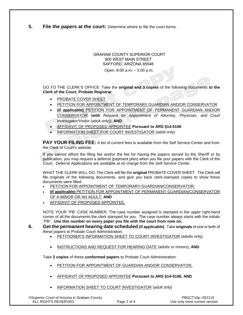**5. File the papers at the court:** Determine where to file the court forms.

#### GRAHAM COUNTY SUPERIOR COURT 800 WEST MAIN STREET SAFFORD, ARIZONA 85546

Open: 8:00 a.m. – 5:00 p.m.

GO TO THE CLERK'S OFFICE: Take the **original and 3 copies** of the following documents **to the Clerk of the Court, Probate Registrar**:

- PROBATE COVER SHEET
- PETITION FOR APPOINTMENT OF TEMPORARY GUARDIAN AND/OR CONSERVATOR
- **(if applicable)** PETITION FOR APPOINTMENT OF PERMANENT GUARDIAN AND/OR CONSERVATOR (**with** *Request for Appointment of Attorney, Physician, and Court Investigator/Visitor* (adult only)); **AND**
- AFFIDAVIT OF PROPOSED APPOINTEE **Pursuant to ARS §14-5106**
- INFORMATION SHEET FOR COURT INVESTIGATOR (adult only)

**PAY YOUR FILING FEE:** A list of current fees is available from the Self Service Center and from the Clerk of Court's website.

If you cannot afford the filing fee and/or the fee for having the papers served by the Sheriff or by publication, you may request a deferral (payment plan) when you file your papers with the Clerk of the Court. Deferral Applications are available at no charge from the Self-Service Center.

WHAT THE CLERK WILL DO: The Clerk will file the **original** PROBATE COVER SHEET. The Clerk will file originals of the following documents, and give you back clerk-stamped copies to show these documents were filled:

- PETITION FOR APPOINTMENT OF TEMPORARY GUARDIAN/CONSERVATOR;
- **(if applicable)** PETITION FOR APPOINTMENT OF PERMANENT GUARDIAN/CONSERVATOR OF A MINOR OR AN ADULT; **AND**
- **AFFIDAVIT OF PROPOSED APPOINTEE.**

NOTE YOUR "PB" CASE NUMBER: The case number assigned is stamped in the upper right-hand corner of all the documents the clerk stamped for you. The case number always starts with the initials "PB". **Use this number on every paper you file with the court from now on.**

#### **6. Get the permanent hearing date scheduled (if applicable)**. Take **originals** of one or both of these papers to Probate Court Administration:

- PETITIONER'S INFORMATION SHEET TO COURT INVESTIGATOR (adults only),
- INSTRUCTIONS AND REQUEST FOR HEARING DATE (adults or minors); **AND**

Take **2 copies** of these **conformed papers** to Probate Court Administration:

- PETITION FOR APPOINTMENT OF GUARDIAN AND/OR CONSERVATOR,
- AFFIDAVIT OF PROPOSED APPOINTEE **Pursuant to ARS §14-5106, AND**
- INFORMATION SHEET TO COURT INVESTIGATOR (adult only)

©Superior Court of Arizona in Graham County PBGCT10p- 052115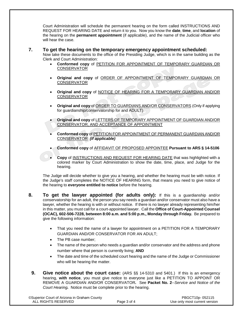Court Administration will schedule the permanent hearing on the form called INSTRUCTIONS AND REQUEST FOR HEARING DATE and return it to you. Now you know the **date**, **time**, and **location** of the hearing on the **permanent appointment** (if applicable), and the name of the Judicial officer who will hear the case.

#### **7. To get the hearing on the temporary emergency appointment scheduled:**

Now take these documents to the office of the Presiding Judge, which is in the same building as the Clerk and Court Administration:

- **Conformed copy** of PETITION FOR APPOINTMENT OF TEMPORARY GUARDIAN OR **CONSERVATOR**
- **Origina**l **and copy** of ORDER OF APPOINTMENT OF TEMPORARY GUARDIAN OR CONSERVATOR
- **Original and copy** of NOTICE OF HEARING FOR A TEMPORARY GUARDIAN AND/OR CONSERVATOR
- **Original and copy** of ORDER TO GUARDIANS AND/OR CONSERVATORS (Only if applying for guardianship/conservatorship for and ADULT)
- **Original and copy** of LETTERS OF TEMPORARY APPOINTMENT OF GUARDIAN AND/OR CONSERVATOR, AND ACCEPTANCE OF APPOINTMENT
- **Conformed copy** of PETITION FOR APPOINTMENT OF PERMANENT GUARDIAN AND/OR CONSERVATOR *(if applicable)*
- **Conformed copy** of AFFIDAVIT OF PROPOSED APPOINTEE **Pursuant to ARS § 14-5106**
- **Copy** of INSTRUCTIONS AND REQUEST FOR HEARING DATE that was highlighted with a colored marker by Court Administration to show the date, time, place, and Judge for the hearing.

The Judge will decide whether to give you a hearing, and whether the hearing must be with notice. If the Judge's staff completes the NOTICE OF HEARING form, that means you need to give notice of the hearing to **everyone entitled to notice** before the hearing.

- **8. To get the lawyer appointed (for adults only):** If this is a guardianship and/or conservatorship for an adult, the person you say needs a guardian and/or conservator must also have a lawyer, whether the hearing is with or without notice. If there is no lawyer already representing him/her in this matter, you must call for a court-appointed lawyer. Call the **Office of Court-Appointed Counsel (OCAC), 602-506-7228, between 8:00 a.m. and 5:00 p.m., Monday through Friday.** Be prepared to give the following information:
	- That you need the name of a lawyer for appointment on a PETITION FOR A TEMPORARY GUARDIAN AND/OR CONSERVATOR FOR AN ADULT;
	- The PB case number;
	- The name of the person who needs a guardian and/or conservator and the address and phone number where that person is currently living; **AND**
	- The date and time of the scheduled court hearing and the name of the Judge or Commissioner who will be hearing the matter.
	- **9. Give notice about the court case:** (ARS §§ 14-5310 and 5401.) If this is an emergency hearing, **with notice**, you must give notice to everyone just like a PETITION TO APPOINT OR REMOVE A GUARDIAN AND/OR CONSERVATOR*.* See **Packet No. 2**--*Service and Notice of the Court Hearing.* Notice must be complete prior to the hearing.

| <b>©Superior Court of Arizona in Graham County</b> |
|----------------------------------------------------|
| ALL RIGHTS RESERVED                                |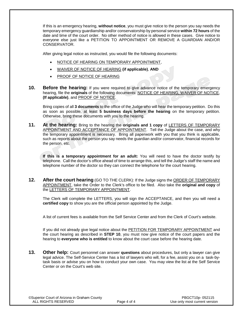If this is an emergency hearing, **without notice**, you must give notice to the person you say needs the temporary emergency guardianship and/or conservatorship by personal service **within 72 hours** of the date and time of the court order. No other method of notice is allowed in these cases. Give notice to everyone else just like a PETITION TO APPOINTMENT OR REMOVE A GUARDIAN AND/OR CONSERVATOR.

After giving legal notice as instructed, you would file the following documents:

- NOTICE OF HEARING ON TEMPORARY APPOINTMENT,
- WAIVER OF NOTICE OF HEARING **(if applicable)**, **AND**
- PROOF OF NOTICE OF HEARING
- **10. Before the hearing:** If you were required to give advance notice of the temporary emergency hearing, file the **originals** of the following documents: NOTICE OF HEARING, WAIVER OF NOTICE, **(If applicable)**, and PROOF OF NOTICE.

Bring copies of all **3 documents** to the office of the Judge who will hear the temporary petition. Do this as soon as possible, at least **5 business days before the hearing** on the temporary petition. Otherwise, bring these documents with you to the hearing.

**11. At the hearing:** Bring to the hearing the **originals and 1 copy** of LETTERS OF TEMPORARY APPOINTMENT AND ACCEPTANCE OF APPOINTMENT. Tell the Judge about the case, and why the temporary appointment is necessary. Bring all paperwork with you that you think is applicable, such as reports about the person you say needs the guardian and/or conservator, financial records for the person, etc.

**If this is a temporary appointment for an adult:** You will need to have the doctor testify by telephone. Call the doctor's office ahead of time to arrange this, and tell the Judge's staff the name and telephone number of the doctor so they can connect the telephone for the court hearing.

**12. After the court hearing** (GO TO THE CLERK): If the Judge signs the ORDER OF TEMPORARY APPOINTMENT, take the Order to the Clerk's office to be filed. Also take the **original and copy** of the LETTERS OF TEMPORARY APPOINTMENT.

The Clerk will complete the LETTERS, you will sign the ACCEPTANCE, and then you will need a **certified copy** to show you are the official person appointed by the Judge.

A list of current fees is available from the Self Service Center and from the Clerk of Court's website.

If you did not already give legal notice about the PETITION FOR TEMPORARY APPOINTMENT and the court hearing as described in **STEP 10**, you must now give notice of the court papers and the hearing to **everyone who is entitled** to know about the court case before the hearing date.

**13. Other help:** Court personnel can answer **questions** about procedures, but only a lawyer can give legal advice. The Self-Service Center has a list of lawyers who will, for a fee, assist you on a task-bytask basis or advise you on how to conduct your own case. You may view the list at the Self Service Center or on the Court's web site.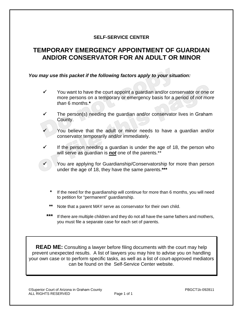# **SELF-SERVICE CENTER**

# **TEMPORARY EMERGENCY APPOINTMENT OF GUARDIAN AND/OR CONSERVATOR FOR AN ADULT OR MINOR**

## *You may use this packet if the following factors apply to your situation:*

- $\checkmark$  You want to have the court appoint a quardian and/or conservator or one or more persons on a temporary or emergency basis for a period of *not more than* 6 months.**\***
- $\checkmark$  The person(s) needing the guardian and/or conservator lives in Graham County.

 You believe that the adult or minor needs to have a guardian and/or conservator temporarily and/or immediately.

 If the person needing a guardian is under the age of 18, the person who will serve as guardian is *not* one of the parents.\*\*

 You are applying for Guardianship/Conservatorship for more than person under the age of 18, they have the same parents.**\*\*\***

- **\*** If the need for the guardianship will continue for more than 6 months, you will need to petition for "permanent" guardianship.
- **\*\*** Note that a parent MAY serve as conservator for their own child.
- \*\*\* If there are multiple children and they do not all have the same fathers and mothers, you must file a separate case for each set of parents.

**READ ME:** Consulting a lawyer before filing documents with the court may help prevent unexpected results. A list of lawyers you may hire to advise you on handling your own case or to perform specific tasks, as well as a list of court-approved mediators can be found on the Self-Service Center website.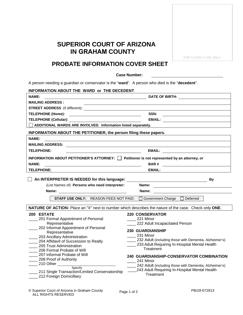# **SUPERIOR COURT OF ARIZONA IN GRAHAM COUNTY**

FOR CLERK'S USE ONLY

# **PROBATE INFORMATION COVER SHEET**

#### **Case Number:**

A person needing a guardian or conservator is the "**ward**". A person who died is the "**decedent**".

| INFORMATION ABOUT THE WARD or THE DECEDENT                                                                                                        |                                                                                                                                                                                                                                |  |  |  |
|---------------------------------------------------------------------------------------------------------------------------------------------------|--------------------------------------------------------------------------------------------------------------------------------------------------------------------------------------------------------------------------------|--|--|--|
| <b>NAME:</b>                                                                                                                                      | DATE OF BIRTH: NOTE: NOTE: NOTE: NOTE: NOTE: NOTE: NOTE: NOTE: NOTE: NOTE: NOTE: NOTE: NOTE: NOTE: NOTE: NOTE: NOTE: NOTE: NOTE: NOTE: NOTE: NOTE: NOTE: NOTE: NOTE: NOTE: NOTE: NOTE: NOTE: NOTE: NOTE: NOTE: NOTE: NOTE: NOT |  |  |  |
| <b>MAILING ADDRESS:</b>                                                                                                                           |                                                                                                                                                                                                                                |  |  |  |
|                                                                                                                                                   |                                                                                                                                                                                                                                |  |  |  |
| <b>TELEPHONE (Home):</b><br><u> 1980 - Johann Barn, fransk politik (d. 1980)</u>                                                                  | SSN:                                                                                                                                                                                                                           |  |  |  |
|                                                                                                                                                   |                                                                                                                                                                                                                                |  |  |  |
| ADDITIONAL WARDS ARE INVOLVED. Information listed separately.                                                                                     |                                                                                                                                                                                                                                |  |  |  |
| INFORMATION ABOUT THE PETITIONER, the person filing these papers.                                                                                 |                                                                                                                                                                                                                                |  |  |  |
| <b>NAME:</b><br><u> 1989 - Johann Barbara, markazi bashkar a shekara ta 1989 - André a shekara ta 1989 - André a shekara ta 198</u>               |                                                                                                                                                                                                                                |  |  |  |
| <b>MAILING ADDRESS:</b><br><u> 1989 - Johann Stoff, deutscher Stoffen und der Stoffen und der Stoffen und der Stoffen und der Stoffen und der</u> |                                                                                                                                                                                                                                |  |  |  |
| <b>TELEPHONE:</b><br><u> 1980 - Johann Barbara, martin d</u>                                                                                      |                                                                                                                                                                                                                                |  |  |  |
| INFORMATION ABOUT PETITIONER'S ATTORNEY: $\Box$ Petitioner is not represented by an attorney, or                                                  |                                                                                                                                                                                                                                |  |  |  |
| <b>NAME:</b><br><u> 1989 - Jan Sarajević, politik i postala i postala i postala i postala i postala i postala i postala i postala</u>             | <b>BAR#</b><br><u> 1989 - John Stein, Amerikaansk kanton (</u>                                                                                                                                                                 |  |  |  |
| <b>TELEPHONE:</b>                                                                                                                                 | <b>EMAIL:</b>                                                                                                                                                                                                                  |  |  |  |
|                                                                                                                                                   |                                                                                                                                                                                                                                |  |  |  |
| An INTERPRETER IS NEEDED for this language:<br>By<br><u> 1989 - Johann Barnett, fransk politik (d. 1989)</u>                                      |                                                                                                                                                                                                                                |  |  |  |
|                                                                                                                                                   |                                                                                                                                                                                                                                |  |  |  |
| (List Names of) Persons who need interpreter:                                                                                                     | Name: <u>________________________</u>                                                                                                                                                                                          |  |  |  |
|                                                                                                                                                   |                                                                                                                                                                                                                                |  |  |  |
|                                                                                                                                                   | STAFF USE ONLY: REASON FEES NOT PAID: □ Government Charge □ Deferred                                                                                                                                                           |  |  |  |
|                                                                                                                                                   | NATURE OF ACTION: Place an "X" next to number which describes the nature of the case. Check only ONE.                                                                                                                          |  |  |  |
| 200 ESTATE                                                                                                                                        | <b>220 CONSERVATOR</b>                                                                                                                                                                                                         |  |  |  |
| _201 Formal Appointment of Personal                                                                                                               | $221$ Minor                                                                                                                                                                                                                    |  |  |  |
| Representative                                                                                                                                    | 222 Adult Incapacitated Person                                                                                                                                                                                                 |  |  |  |
| 202 Informal Appointment of Personal                                                                                                              | <b>230 GUARDIANSHIP</b>                                                                                                                                                                                                        |  |  |  |
| Representative<br>203 Ancillary Administration                                                                                                    | 231 Minor                                                                                                                                                                                                                      |  |  |  |
| 204 Affidavit of Succession to Realty                                                                                                             | 232 Adult (including those with Dementia, Alzheimer's)                                                                                                                                                                         |  |  |  |
| 205 Trust Administration                                                                                                                          | 233 Adult Requiring In-Hospital Mental Health                                                                                                                                                                                  |  |  |  |
| 206 Formal Probate of Will                                                                                                                        | Treatment                                                                                                                                                                                                                      |  |  |  |
| 207 Informal Probate of Will                                                                                                                      | 240 GUARDIANSHIP-CONSERVATOR COMBINATION                                                                                                                                                                                       |  |  |  |
| 208 Proof of Authority                                                                                                                            | _____ 241 Minor                                                                                                                                                                                                                |  |  |  |
| 210 Other Specify                                                                                                                                 | 242 Adult (including those with Dementia, Alzheimer's)                                                                                                                                                                         |  |  |  |
| 211 Single Transaction/Limited Conservatorship<br>212 Foreign Domicilliary                                                                        | 243 Adult Requiring In-Hospital Mental Health<br>Treatment                                                                                                                                                                     |  |  |  |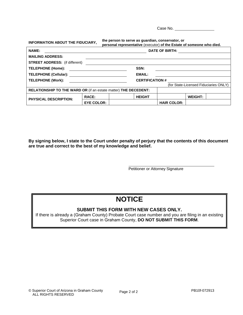Case No.

| the person to serve as guardian, conservator, or<br>INFORMATION ABOUT THE FIDUCIARY,<br>personal representative (executor) of the Estate of someone who died. |                   |                       |                    |                |                                       |
|---------------------------------------------------------------------------------------------------------------------------------------------------------------|-------------------|-----------------------|--------------------|----------------|---------------------------------------|
| <b>NAME:</b>                                                                                                                                                  |                   | <b>DATE OF BIRTH:</b> |                    |                |                                       |
| <b>MAILING ADDRESS:</b>                                                                                                                                       |                   |                       |                    |                |                                       |
| <b>STREET ADDRESS:</b> (if different)                                                                                                                         |                   |                       |                    |                |                                       |
| <b>TELEPHONE (Home):</b>                                                                                                                                      | SSN:              |                       |                    |                |                                       |
| TELEPHONE (Cellular):                                                                                                                                         |                   | <b>EMAIL:</b>         |                    |                |                                       |
| <b>TELEPHONE (Work):</b>                                                                                                                                      |                   | <b>CERTIFICATION#</b> |                    |                |                                       |
|                                                                                                                                                               |                   |                       |                    |                | (for State-Licensed Fiduciaries ONLY) |
| RELATIONSHIP TO THE WARD OR (if an estate matter) THE DECEDENT:                                                                                               |                   |                       |                    |                |                                       |
| <b>PHYSICAL DESCRIPTION:</b>                                                                                                                                  | <b>RACE:</b>      | <b>HEIGHT</b>         |                    | <b>WEIGHT:</b> |                                       |
|                                                                                                                                                               | <b>EYE COLOR:</b> |                       | <b>HAIR COLOR:</b> |                |                                       |

**By signing below, I state to the Court under penalty of perjury that the contents of this document are true and correct to the best of my knowledge and belief.**

Petitioner or Attorney Signature

# **NOTICE**

# **SUBMIT THIS FORM WITH NEW CASES ONLY.**

If there is already a (Graham County) Probate Court case number and you are filing in an existing Superior Court case in Graham County, **DO NOT SUBMIT THIS FORM**.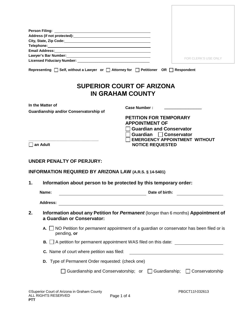| Email Address: No. 1996. The Contract of the Contract of the Contract of the Contract of the Contract of the Contract of the Contract of the Contract of the Contract of the Contract of the Contract of the Contract of the C |                                  |                      |
|--------------------------------------------------------------------------------------------------------------------------------------------------------------------------------------------------------------------------------|----------------------------------|----------------------|
| Lawyer's Bar Number: Management Communication of the United States and District Communications and District Co                                                                                                                 |                                  |                      |
|                                                                                                                                                                                                                                |                                  | FOR CLERK'S USE ONLY |
| Representing $\Box$ Self, without a Lawyer or $\Box$ Attorney for $\Box$ Petitioner OR $\Box$ Respondent                                                                                                                       |                                  |                      |
|                                                                                                                                                                                                                                | <b>SUPERIOR COURT OF ARIZONA</b> |                      |
|                                                                                                                                                                                                                                | IN GRAHAM COUNTY                 |                      |
| In the Matter of                                                                                                                                                                                                               | Case Number:                     |                      |
| Guardianship and/or Conservatorship of                                                                                                                                                                                         |                                  |                      |

| <b>PETITION FOR TEMPORARY</b> |
|-------------------------------|
| <b>APPOINTMENT OF</b>         |
| □ Guardian and Conservator    |
|                               |

Ē

- **Guardian Conservator**
- **EMERGENCY APPOINTMENT WITHOUT NOTICE REQUESTED**

**an Adult** 

## **UNDER PENALTY OF PERJURY:**

**\_\_\_\_\_\_\_\_\_\_\_\_\_\_\_\_\_\_\_\_\_\_\_\_\_\_\_\_\_\_\_\_\_\_\_**

| <b>INFORMATION REQUIRED BY ARIZONA LAW (A.R.S. § 14-5401)</b> |  |
|---------------------------------------------------------------|--|
|                                                               |  |

**1. Information about person to be protected by this temporary order:**

|    | Name:    | Date of birth:                                                                                                          |
|----|----------|-------------------------------------------------------------------------------------------------------------------------|
|    | Address: |                                                                                                                         |
| 2. |          | Information about any Petition for <i>Permanent</i> (longer than 6 months) Appointment of<br>a Guardian or Conservator: |
|    | A. I     | NO Petition for <i>permanent</i> appointment of a guardian or conservator has been filed or is<br>pending, or           |
|    |          | $\mathbf{B}$ . $\Box$ A petition for permanent appointment WAS filed on this date:                                      |
|    |          | <b>C.</b> Name of court where petition was filed:                                                                       |
|    |          | D. Type of Permanent Order requested: (check one)                                                                       |
|    |          | Guardianship and Conservatorship; or $\Box$ Guardianship; $\Box$ Conservatorship                                        |
|    |          |                                                                                                                         |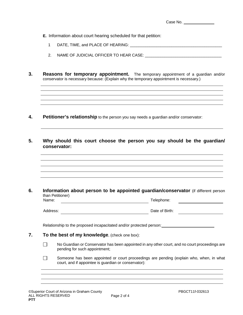- **E.** Information about court hearing scheduled for that petition:
	- 1 DATE, TIME, and PLACE OF HEARING:  $\blacksquare$
	- 2. NAME OF JUDICIAL OFFICER TO HEAR CASE:
- **3. Reasons for temporary appointment.** The temporary appointment of a guardian and/or conservator is necessary because: (Explain why the temporary appointment is necessary.)

- **4. Petitioner's relationship** to the person you say needs a guardian and/or conservator:
- **5. Why should this court choose the person you say should be the guardian/ conservator:**

**6. Information about person to be appointed guardian/conservator** (if different person than Petitioner) Name: Telephone:

Address: National Address: National Address: Date of Birth: National Address: National Address: National Address: National Address: National Address: National Address: National Address: National Address: National Address:

Relationship to the proposed incapacitated and/or protected person:

- **7. To the best of my knowledge**, (check one box):
	- No Guardian or Conservator has been appointed in any other court, and no court proceedings are П pending for such appointment;
	- $\Box$ Someone has been appointed or court proceedings are pending (explain who, when, in what court, and if appointee is guardian or conservator):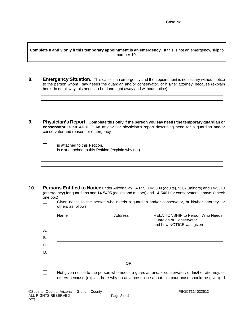**Complete 8 and 9 only if this temporary appointment is an emergency.** If this is not an emergency, skip to number 10.

- **8. Emergency Situation.** This case is an emergency and the appointment is necessary without notice to the person whom I say needs the guardian and/or conservator, or his/her attorney, because (explain here in detail why this needs to be done right away and without notice)
- **9. Physician's Report. Complete this only if the person you say needs the temporary guardian or conservator is an ADULT:** An affidavit or physician's report describing need for a guardian and/or conservator and reason for emergency

| $\mathcal{L}_{\mathcal{A}}$ | is attached to this Petition.                       |
|-----------------------------|-----------------------------------------------------|
| $\Box$                      | is not attached to this Petition (explain why not). |

- **10. Persons Entitled to Notice** under Arizona law, A.R.S. 14-5309 (adults), 5207 (minors) and 14-5310 (emergency) for guardians and 14-5405 (adults and minors) and 14-5401 for conservators. I have: (check one box)
	- $\Box$ Given notice to the person who needs a guardian and/or conservator, or his/her attorney, or others as follows:

|           | Name | Address   | <b>RELATIONSHIP to Person Who Needs</b><br>Guardian or Conservator<br>and how NOTICE was given |
|-----------|------|-----------|------------------------------------------------------------------------------------------------|
| А.        |      |           |                                                                                                |
| <b>B.</b> |      |           |                                                                                                |
| C.        |      |           |                                                                                                |
| D.        |      |           |                                                                                                |
|           |      | <b>OR</b> |                                                                                                |

 $\Box$ Not given notice to the person who needs a guardian and/or conservator, or his/her attorney, or others because (explain here why no advance notice about this court case should be given). I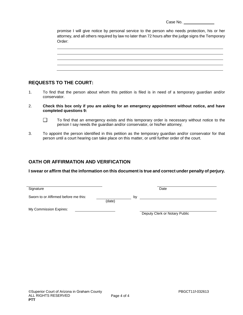| Case No. |  |
|----------|--|
|          |  |

promise I will give notice by personal service to the person who needs protection, his or her attorney, and all others required by law no later than 72 hours after the judge signs the Temporary Order:

| ------ |
|--------|
|        |
|        |
|        |
|        |
|        |
|        |
|        |
|        |
|        |
|        |
|        |
|        |
|        |
|        |
|        |
|        |
|        |
|        |
|        |
|        |
|        |
|        |

# **REQUESTS TO THE COURT:**

- 1. To find that the person about whom this petition is filed is in need of a temporary guardian and/or conservator.
- 2. **Check this box only if you are asking for an emergency appointment without notice, and have completed questions 9:**
	- $\mathcal{L}_{\mathcal{A}}$ To find that an emergency exists and this temporary order is necessary without notice to the person I say needs the guardian and/or conservator, or his/her attorney;
- 3. To appoint the person identified in this petition as the temporary guardian and/or conservator for that person until a court hearing can take place on this matter, or until further order of the court.

# **OATH OR AFFIRMATION AND VERIFICATION**

**I swear or affirm that the information on this document is true and correct under penalty of perjury.**

| Signature                            |        |    | Date |
|--------------------------------------|--------|----|------|
| Sworn to or Affirmed before me this: | (date) | b٧ |      |

My Commission Expires:

Deputy Clerk or Notary Public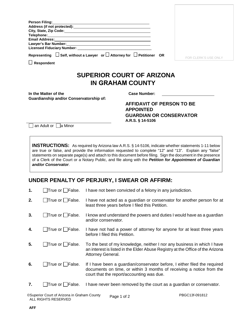| <b>Person Filing:</b>                                                                                             |                             |
|-------------------------------------------------------------------------------------------------------------------|-----------------------------|
| Address (if not protected): Manual Address (if not protected):                                                    |                             |
| City, State, Zip Code: Management City, State, Zip Code:                                                          |                             |
| Telephone: <u>www.community.community.community.community.com</u>                                                 |                             |
| Email Address: 2008. 2009. 2010. 2010. 2010. 2010. 2010. 2010. 2010. 2010. 2011. 2012. 2012. 2012. 2012. 2012.    |                             |
|                                                                                                                   |                             |
| Licensed Fiduciary Number: National Contract of Contract Contract of Contract Contract Contract On the Contract O |                             |
| Representing $\Box$ Self, without a Lawyer or $\Box$ Attorney for $\Box$ Petitioner OR                            | <b>FOR CLERK'S USE ONLY</b> |
| <b>Respondent</b>                                                                                                 |                             |

# **SUPERIOR COURT OF ARIZONA IN GRAHAM COUNTY**

**In the Matter of the Case Number: Guardianship and/or Conservatorship of:** 

**AFFIDAVIT OF PERSON TO BE APPOINTED GUARDIAN OR CONSERVATOR A.R.S. § 14-5106**

 $\overline{\phantom{a}}$  an Adult or  $\overline{\phantom{a}}$  a Minor

**INSTRUCTIONS:** As required by Arizona law A.R.S. § 14-5106, indicate whether statements 1-11 below are true or false, and provide the information requested to complete "12" and "13". Explain any "false" statements on separate page(s) and attach to this document before filing. Sign the document in the presence of a Clerk of the Court or a Notary Public, and file along with the *Petition for Appointment of Guardian and/or Conservator*.

# **UNDER PENALTY OF PERJURY, I SWEAR OR AFFIRM:**

| 1. | $\Box$ True or $\Box$ False.    | I have not been convicted of a felony in any jurisdiction.                                                                                                                                     |
|----|---------------------------------|------------------------------------------------------------------------------------------------------------------------------------------------------------------------------------------------|
| 2. | $\Box$ True or $\Box$ False.    | I have not acted as a guardian or conservator for another person for at<br>least three years before I filed this Petition.                                                                     |
| 3. | $\Box$ True or $\Box$ False.    | I know and understand the powers and duties I would have as a guardian<br>and/or conservator.                                                                                                  |
| 4. | True or □False.                 | I have not had a power of attorney for anyone for at least three years<br>before I filed this Petition.                                                                                        |
| 5. | $\Box$ True or $\Box$ False.    | To the best of my knowledge, neither I nor any business in which I have<br>an interest is listed in the Elder Abuse Registry at the Office of the Arizona<br>Attorney General.                 |
| 6. | $\exists$ True or $\Box$ False. | If I have been a guardian/conservator before, I either filed the required<br>documents on time, or within 3 months of receiving a notice from the<br>court that the report/accounting was due. |
| 7. | True or   False.                | I have never been removed by the court as a guardian or conservator.                                                                                                                           |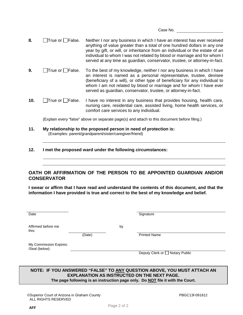Case No.

- **8.** True or False. Neither I nor any business in which I have an interest has ever received anything of value greater than a total of one hundred dollars in any one year by gift, or will, or inheritance from an individual or the estate of an individual to whom I was not related by blood or marriage and for whom I served at any time as guardian, conservator, trustee, or attorney-in-fact.
- **9.** True or False. To the best of my knowledge, neither I nor any business in which I have an interest is named as a personal representative, trustee, devisee (beneficiary of a will), or other type of beneficiary for any individual to whom I am not related by blood or marriage and for whom I have ever served as guardian, conservator, trustee, or attorney-in-fact.
- **10.** True or False. I have no interest in any business that provides housing, health care, nursing care, residential care, assisted living, home health services, or comfort care services to any individual.

(Explain every "false" above on separate page(s) and attach to this document before filing.)

#### **11. My relationship to the proposed person in need of protection is:** (Examples: parent/grandparent/sister/caregiver/friend)

**12. I met the proposed ward under the following circumstances:**

#### **OATH OR AFFIRMATION OF THE PERSON TO BE APPOINTED GUARDIAN AND/OR CONSERVATOR**

**I swear or affirm that I have read and understand the contents of this document, and that the information I have provided is true and correct to the best of my knowledge and belief.**

| Date                                     |        |    | Signature                       |
|------------------------------------------|--------|----|---------------------------------|
| Affirmed before me<br>this:              | (Date) | by | <b>Printed Name</b>             |
| My Commission Expires:<br>/Seal (below): |        |    | Deputy Clerk or □ Notary Public |

#### **NOTE: IF YOU ANSWERED "FALSE" TO ANY QUESTION ABOVE, YOU MUST ATTACH AN EXPLANATION AS INSTRUCTED ON THE NEXT PAGE. The page following is an instruction page only. Do NOT file it with the Court.**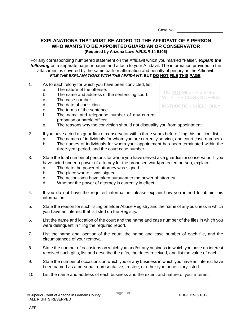Case No.

## **EXPLANATIONS THAT MUST BE ADDED TO THE AFFIDAVIT OF A PERSON WHO WANTS TO BE APPOINTED GUARDIAN OR CONSERVATOR (Required by Arizona Law: A.R.S. § 14-5106)**

For any corresponding numbered statement on the Affidavit which you marked "False", *explain the following* on a separate page or pages and attach to your Affidavit. The information provided in the attachment is covered by the same oath or affirmation and penalty of perjury as the Affidavit. *FILE THE EXPLANATIONS WITH THE AFFIDAVIT***, BUT DO NOT FILE THIS PAGE**.

- 1. As to each felony for which you have been convicted, list:
	- a. The nature of the offense.
	- b. The name and address of the sentencing court.
	- c. The case number.
	- d. The date of conviction.
	- e. The terms of the sentence.
	- f. The name and telephone number of any current probation or parole officer.

DO NOT FILE THIS SHEET WITH THE CLERK'S OFFICE

INSTRUCTION SHEET ONLY

- g. The reasons why the conviction should not disqualify you from appointment.
- 2. If you have acted as guardian or conservator within three years before filing this petition, list:
	- a. The names of individuals for whom you are currently serving, and court case numbers.
	- b. The names of individuals for whom your appointment has been terminated within the three-year period, and the court case number.
- 3. State the total number of persons for whom you have served as a guardian or conservator. If you have acted under a power of attorney for the proposed ward/protected person, explain:
	- a. The date the power of attorney was signed.
	- b. The place where it was signed.
	- c. The actions you have taken pursuant to the power of attorney.
	- d. Whether the power of attorney is currently in effect.
- 4. If you do not have the required information, please explain how you intend to obtain this information.
- 5. State the reason for such listing on Elder Abuse Registry and the name of any business in which you have an interest that is listed on the Registry**.**
- 6. List the name and location of the court and the name and case number of the files in which you were delinquent in filing the required report.
- 7. List the name and location of the court, the name and case number of each file, and the circumstances of your removal.
- 8. State the number of occasions on which you and/or any business in which you have an interest received such gifts, list and describe the gifts, the dates received, and list the value of each.
- 9. State the number of occasions on which you or any business in which you have an interest have been named as a personal representative, trustee, or other type beneficiary listed.
- 10. List the name and address of each business and the extent and nature of your interest.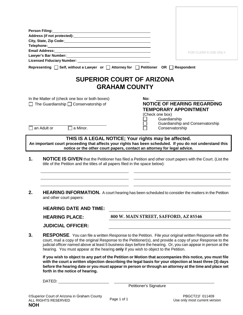|    | Person Filing: University of Allen and Allen and Allen and Allen and Allen and Allen and Allen and Allen |                                                                                                                                                                                                                                                                                                                                                                                                                                        |
|----|----------------------------------------------------------------------------------------------------------|----------------------------------------------------------------------------------------------------------------------------------------------------------------------------------------------------------------------------------------------------------------------------------------------------------------------------------------------------------------------------------------------------------------------------------------|
|    | City, State, Zip Code: Manual According to the City, State, Zip Code:                                    |                                                                                                                                                                                                                                                                                                                                                                                                                                        |
|    | Telephone: Telephone:<br><b>Email Address:</b>                                                           |                                                                                                                                                                                                                                                                                                                                                                                                                                        |
|    |                                                                                                          | <b>FOR CLERK'S USE ONLY</b>                                                                                                                                                                                                                                                                                                                                                                                                            |
|    |                                                                                                          |                                                                                                                                                                                                                                                                                                                                                                                                                                        |
|    |                                                                                                          | Representing □ Self, without a Lawyer or □ Attorney for □ Petitioner OR □ Respondent                                                                                                                                                                                                                                                                                                                                                   |
|    |                                                                                                          | <b>SUPERIOR COURT OF ARIZONA</b><br><b>GRAHAM COUNTY</b>                                                                                                                                                                                                                                                                                                                                                                               |
|    | In the Matter of (check one box or both boxes)<br>The Guardianship $\Box$ Conservatorship of             | No:<br><b>NOTICE OF HEARING REGARDING</b><br><b>TEMPORARY APPOINTMENT</b><br>(Check one box)<br>Guardianship                                                                                                                                                                                                                                                                                                                           |
|    | an Adult or<br>a Minor.                                                                                  | Guardianship and Conservatorship<br>Conservatorship                                                                                                                                                                                                                                                                                                                                                                                    |
| 1. |                                                                                                          | An important court proceeding that affects your rights has been scheduled. If you do not understand this<br>notice or the other court papers, contact an attorney for legal advice.<br>NOTICE IS GIVEN that the Petitioner has filed a Petition and other court papers with the Court. (List the<br>title of the Petition and the titles of all papers filed in the space below):                                                      |
| 2. | and other court papers:                                                                                  | <b>HEARING INFORMATION.</b> A court hearing has been scheduled to consider the matters in the Petition                                                                                                                                                                                                                                                                                                                                 |
|    | <b>HEARING DATE AND TIME:</b>                                                                            |                                                                                                                                                                                                                                                                                                                                                                                                                                        |
|    | <b>HEARING PLACE:</b>                                                                                    | 800 W. MAIN STREET, SAFFORD, AZ 85546                                                                                                                                                                                                                                                                                                                                                                                                  |
|    | <b>JUDICIAL OFFICER:</b>                                                                                 |                                                                                                                                                                                                                                                                                                                                                                                                                                        |
| 3. |                                                                                                          | <b>RESPONSE.</b> You can file a written Response to the Petition. File your original written Response with the<br>court, mail a copy of the original Response to the Petitioner(s), and provide a copy of your Response to the<br>judicial officer named above at least 5 business days before the hearing. Or, you can appear in person at the<br>hearing. You must appear at the hearing only if you wish to object to the Petition. |
|    | forth in the notice of hearing.                                                                          | If you wish to object to any part of the Petition or Motion that accompanies this notice, you must file<br>with the court a written objection describing the legal basis for your objection at least three (3) days<br>before the hearing date or you must appear in person or through an attorney at the time and place set                                                                                                           |
|    |                                                                                                          |                                                                                                                                                                                                                                                                                                                                                                                                                                        |
|    |                                                                                                          | Petitioner's Signature                                                                                                                                                                                                                                                                                                                                                                                                                 |
|    | Court of Arizona in Craham County                                                                        | $DDCCT94f$ $044400$                                                                                                                                                                                                                                                                                                                                                                                                                    |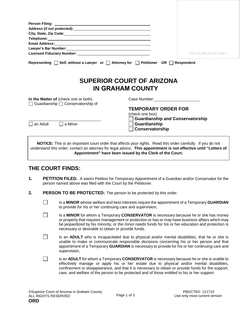|                                                                                       | FOR CLERK'S USE ONLY                                                                                                                                                                                                           |
|---------------------------------------------------------------------------------------|--------------------------------------------------------------------------------------------------------------------------------------------------------------------------------------------------------------------------------|
|                                                                                       | <b>SUPERIOR COURT OF ARIZONA</b><br>IN GRAHAM COUNTY                                                                                                                                                                           |
| In the Matter of (check one or both)<br>$\Box$ Guardianship $\Box$ Conservatorship of | Case Number: The Case of the Case of the Case of the Case of the Case of the Case of the Case of the Case of the Case of the Case of the Case of the Case of the Case of the Case of the Case of the Case of the Case of the C |
|                                                                                       | <b>TEMPORARY ORDER FOR</b>                                                                                                                                                                                                     |
|                                                                                       | (check one box)                                                                                                                                                                                                                |
|                                                                                       | <b>Guardianship and Conservatorship</b>                                                                                                                                                                                        |
| l an Adult<br>□ a Minor                                                               | Guardianship                                                                                                                                                                                                                   |
|                                                                                       |                                                                                                                                                                                                                                |
|                                                                                       | Conservatorship<br>NOTICE: This is an important court order that affects your rights. Read this order carefully. If you do not                                                                                                 |
|                                                                                       | understand this order, contact an attorney for legal advice. This appointment is not effective until "Letters of<br>Appointment" have been issued by the Clerk of the Court.                                                   |

# **THE COURT FINDS:**

 $\Box$ 

- **1. PETITION FILED.** A sworn Petition for Temporary Appointment of a Guardian and/or Conservator for the person named above was filed with the Court by the Petitioner.
- **2. PERSON TO BE PROTECTED:** The person to be protected by this order:

Is a **MINOR** whose welfare and best interests require the appointment of a Temporary **GUARDIAN** to provide for his or her continuing care and supervision;

 $\Box$ Is a **MINOR** for whom a Temporary **CONSERVATOR** is necessary because he or she has money or property that requires management or protection or has or may have business affairs which may be jeopardized by his minority, or the minor needs funds for his or her education and protection is necessary or desirable to obtain or provide funds.

 $\Box$ Is an **ADULT** who is incapacitated due to physical and/or mental disabilities, that he or she is unable to make or communicate responsible decisions concerning his or her person and that appointment of a Temporary **GUARDIAN** is necessary to provide for his or her continuing care and supervision,

 $\Box$ is an **ADULT** for whom a Temporary **CONSERVATOR** is necessary because he or she is unable to effectively manage or apply his or her estate due to physical and/or mental disabilities, confinement or disappearance, and that it is necessary to obtain or provide funds for the support, care, and welfare of the person to be protected and of those entitled to his or her support.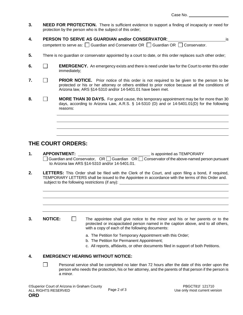- **3. NEED FOR PROTECTION.** There is sufficient evidence to support a finding of incapacity or need for protection by the person who is the subject of this order;
- **4. PERSON TO SERVE AS GUARDIAN and/or CONSERVATOR**: is competent to serve as:  $\Box$  Guardian and Conservator OR  $\Box$  Guardian OR  $\Box$  Conservator.
- **5.** There is no guardian or conservator appointed by a court to date, or this order replaces such other order;
- **6. EMERGENCY.** An emergency exists and there is need under law for the Court to enter this order immediately;
- **7. PRIOR NOTICE.** Prior notice of this order is not required to be given to the person to be protected or his or her attorney or others entitled to prior notice because all the conditions of Arizona law, ARS §14-5310 and/or 14-5401.01 have been met.
- **8. MORE THAN 30 DAYS.** For good cause, this temporary appointment may be for more than 30 days, according to Arizona Law, A.R.S. § 14-5310 (D) and or 14-5401.01(D) for the following reasons:

# **THE COURT ORDERS:**

- **1. APPOINTMENT:** is appointed as TEMPORARY Guardian and Conservator,  $OR \square$  Guardian  $OR \square$  Conservator of the above-named person pursuant to Arizona law ARS §14-5310 and/or 14-5401.01.
- **2. LETTERS:** This Order shall be filed with the Clerk of the Court, and upon filing a bond, if required, TEMPORARY LETTERS shall be issued to the Appointee in accordance with the terms of this Order and. subject to the following restrictions (if any):

- **3. NOTICE:** The appointee shall give notice to the minor and his or her parents or to the protected or incapacitated person named in the caption above, and to all others, with a copy of each of the following documents:
	- a. The Petition for Temporary Appointment with this Order;
	- b. The Petition for Permanent Appointment;
	- c. All reports, affidavits, or other documents filed in support of both Petitions.

#### **4. EMERGENCY HEARING WITHOUT NOTICE:**

 $\Box$ Personal service shall be completed no later than 72 hours after the date of this order upon the person who needs the protection, his or her attorney, and the parents of that person if the person is a minor.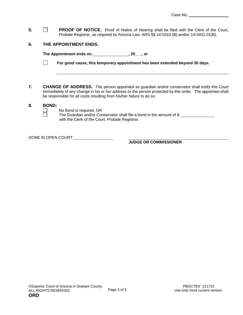**5. PROOF OF NOTICE.** Proof of Notice of Hearing shall be filed with the Clerk of the Court, Probate Registrar, as required by Arizona Law, ARS §§ 14-5310 (B) and/or 14-5401.01(B).

#### **6. THE APPOINTMENT ENDS.**

The Appointment ends on**\_\_\_\_\_\_\_\_\_\_\_\_\_\_\_\_\_\_\_\_**, 20\_\_\_, or

 $\Box$ **For good cause, this temporary appointment has been extended beyond 30 days.** 

**7. CHANGE OF ADDRESS.** The person appointed as guardian and/or conservator shall notify this Court immediately of any change in his or her address or the person protected by this order. The appointee shall be responsible for all costs resulting from his/her failure to do so.

#### **8. BOND:**

No Bond is required, OR

The Guardian and/or Conservator shall file a bond in the amount of \$ with the Clerk of the Court, Probate Registrar.

DONE IN OPEN COURT:

**JUDGE OR COMMISSIONER**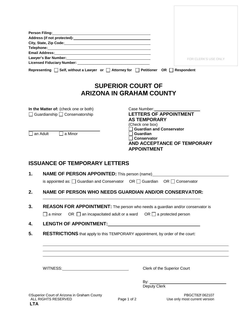| Person Filing: National Person Control of the Control of the Control of the Control of the Control of the Control of the Control of the Control of the Control of the Control of the Control of the Control of the Control of |                                                             |
|-------------------------------------------------------------------------------------------------------------------------------------------------------------------------------------------------------------------------------|-------------------------------------------------------------|
| Address (if not protected): Manual Community of the Address (if not protected):                                                                                                                                               |                                                             |
|                                                                                                                                                                                                                               |                                                             |
| Email Address: No. 2014 12:00 12:00 12:00 12:00 12:00 12:00 12:00 12:00 12:00 12:00 12:00 12:00 12:00 12:00 1                                                                                                                 |                                                             |
|                                                                                                                                                                                                                               | FOR CLERK'S USE ONLY                                        |
| Representing $\Box$ Self, without a Lawyer or $\Box$ Attorney for $\Box$ Petitioner OR $\Box$ Respondent                                                                                                                      |                                                             |
|                                                                                                                                                                                                                               | <b>SUPERIOR COURT OF</b><br><b>ARIZONA IN GRAHAM COUNTY</b> |
| In the Matter of: (check one or both)                                                                                                                                                                                         | Case Number:                                                |
| $\Box$ Guardianship $\Box$ Conservatorship                                                                                                                                                                                    | <b>LETTERS OF APPOINTMENT</b>                               |
|                                                                                                                                                                                                                               | <b>AS TEMPORARY</b><br>(Check one box)                      |
|                                                                                                                                                                                                                               | <b>Guardian and Conservator</b>                             |
| an Adult<br>a Minor                                                                                                                                                                                                           | ∣ Guardian<br><b>Conservator</b>                            |
|                                                                                                                                                                                                                               | AND ACCEPTANCE OF TEMPORARY                                 |
|                                                                                                                                                                                                                               | <b>APPOINTMENT</b>                                          |
| <b>ISSUANCE OF TEMPORARY LETTERS</b>                                                                                                                                                                                          |                                                             |
|                                                                                                                                                                                                                               |                                                             |
| <b>NAME OF PERSON APPOINTED:</b> This person (name)_<br>1.                                                                                                                                                                    |                                                             |

- **2. NAME OF PERSON WHO NEEDS GUARDIAN AND/OR CONSERVATOR:**
- **3. REASON FOR APPOINTMENT:** The person who needs a guardian and/or conservator is  $\Box$  a minor OR  $\Box$  an incapacitated adult or a ward OR  $\Box$  a protected person
- **4. LENGTH OF APPOINTMENT:**
- **5. RESTRICTIONS** that apply to this TEMPORARY appointment, by order of the court:

WITNESS: WITNESS:

By:  $\_\_$ Deputy Clerk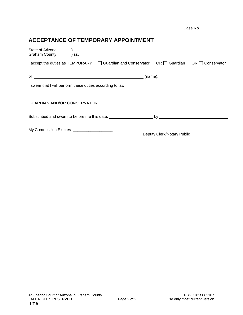|                                                                                                             |            |                            | Case No. |
|-------------------------------------------------------------------------------------------------------------|------------|----------------------------|----------|
| <b>ACCEPTANCE OF TEMPORARY APPOINTMENT</b>                                                                  |            |                            |          |
| State of Arizona<br><b>Graham County</b><br>SS.                                                             |            |                            |          |
| $I$ accept the duties as TEMPORARY $\Box$ Guardian and Conservator OR $\Box$ Guardian OR $\Box$ Conservator |            |                            |          |
| of $\overline{\phantom{a}}$                                                                                 | $(name)$ . |                            |          |
| I swear that I will perform these duties according to law.                                                  |            |                            |          |
|                                                                                                             |            |                            |          |
| <b>GUARDIAN AND/OR CONSERVATOR</b>                                                                          |            |                            |          |
| Subscribed and sworn to before me this date: by http://www.php/bytarthesize.com/                            |            |                            |          |
| My Commission Expires: _____________________                                                                |            |                            |          |
|                                                                                                             |            | Deputy Clerk/Notary Public |          |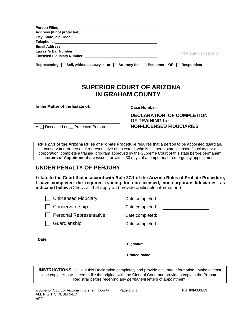|                                                                             | <b>FOR CLERK'S USE ONLY</b> |
|-----------------------------------------------------------------------------|-----------------------------|
|                                                                             |                             |
| Representing $\Box$ Self, without a Lawyer or $\Box$<br><b>Attorney for</b> | Petitioner OR Respondent    |

# **SUPERIOR COURT OF ARIZONA IN GRAHAM COUNTY**

**In the Matter of the Estate of: Case Number :**

**DECLARATION OF COMPLETION OF TRAINING for** A Deceased or Protected Person **NON-LICENSED FIDUCIARIES**

**Rule 27.1 of the Arizona Rules of Probate Procedure** requires that a person to be appointed guardian, conservator, or personal representative of an estate, who is neither a state-licensed fiduciary nor a corporation, complete a training program approved by the Supreme Court of this state before permanent **Letters of Appointment** are issued, or within 30 days of a temporary or emergency appointment.

# **UNDER PENALTY OF PERJURY**

**I state to the Court that in accord with Rule 27.1 of the Arizona Rules of Probate Procedure, I have completed the required training for non-licensed, non-corporate fiduciaries, as indicated below:** (Check all that apply and provide applicable information.)

| <b>Unlicensed Fiduciary</b> | Date completed:  |
|-----------------------------|------------------|
| Conservatorship             | Date completed:  |
| Personal Representative     | Date completed:  |
| Guardianship                | Date completed:  |
| Date:                       |                  |
|                             | <b>Signature</b> |

**Printed Name**

**INSTRUCTIONS:** Fill out this Declaration completely and provide accurate information. Make at least one copy. You will need to file the original with the Clerk of Court and provide a copy to the Probate Registrar before receiving any *permanent* letters of appointment.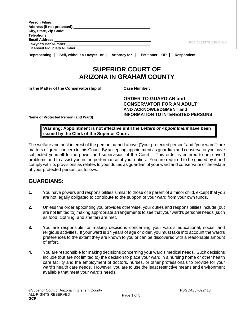| Address (if not protected): Manual Community of the Address (if not protected):                                                                                                                                                   |                                                                    |
|-----------------------------------------------------------------------------------------------------------------------------------------------------------------------------------------------------------------------------------|--------------------------------------------------------------------|
|                                                                                                                                                                                                                                   |                                                                    |
|                                                                                                                                                                                                                                   |                                                                    |
| Email Address: No. 2014 12:30 12:30 12:30 12:30 12:30 12:30 12:30 12:30 12:30 12:30 12:30 12:30 12:30 12:30 1<br>Lawyer's Bar Number: Management Communication of the United States of the United States and Communication of the | FOR CLERK'S USE ONLY                                               |
|                                                                                                                                                                                                                                   |                                                                    |
|                                                                                                                                                                                                                                   |                                                                    |
|                                                                                                                                                                                                                                   | <b>SUPERIOR COURT OF</b><br><b>ARIZONA IN GRAHAM COUNTY</b>        |
|                                                                                                                                                                                                                                   | <b>Case Number:</b>                                                |
|                                                                                                                                                                                                                                   |                                                                    |
|                                                                                                                                                                                                                                   | <b>ORDER TO GUARDIAN and</b>                                       |
| Representing $\Box$ Self, without a Lawyer or $\Box$ Attorney for $\Box$ Petitioner OR $\Box$ Respondent<br>In the Matter of the Conservatorship of                                                                               | <b>CONSERVATOR FOR AN ADULT</b>                                    |
|                                                                                                                                                                                                                                   | AND ACKNOWLEDGMENT and<br><b>INFORMATION TO INTERESTED PERSONS</b> |

**issued by the Clerk of the Superior Court.**

The welfare and best interest of the person named above ("your protected person" and "your ward") are matters of great concern to this Court. By accepting appointment as guardian and conservator you have subjected yourself to the power and supervision of the Court. This order is entered to help avoid problems and to assist you in the performance of your duties. You are required to be guided by it and comply with its provisions as relates to your duties as guardian of your ward and conservator of the estate of your protected person, as follows:

# **GUARDIANS:**

- **1.** You have powers and responsibilities similar to those of a parent of a minor child, except that you are not legally obligated to contribute to the support of your ward from your own funds.
- **2.** Unless the order appointing you provides otherwise, your duties and responsibilities include (but are not limited to) making appropriate arrangements to see that your ward's personal needs (such as food, clothing, and shelter) are met.
- **3.** You are responsible for making decisions concerning your ward's educational, social, and religious activities. If your ward is 14 years of age or older, you must take into account the ward's preferences to the extent they are known to you or can be discovered with a reasonable amount of effort.
- **4.** You are responsible for making decisions concerning your ward's medical needs. Such decisions include (but are not limited to) the decision to place your ward in a nursing home or other health care facility and the employment of doctors, nurses, or other professionals to provide for your ward's health care needs. However, you are to use the least restrictive means and environment available that meet your ward's needs.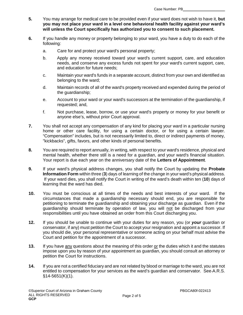**5.** You may arrange for medical care to be provided even if your ward does not wish to have it, **but you may not place your ward in a level one behavioral health facility against your ward's will unless the Court specifically has authorized you to consent to such placement.**

- **6.** If you handle any money or property belonging to your ward, you have a duty to do each of the following:
	- a. Care for and protect your ward's personal property;
	- b. Apply any money received toward your ward's current support, care, and education needs, and conserve any excess funds not spent for your ward's current support, care, and education for future needs;
	- c. Maintain your ward's funds in a separate account, distinct from your own and identified as belonging to the ward;
	- d. Maintain records of all of the ward's property received and expended during the period of the guardianship;
	- e. Account to your ward or your ward's successors at the termination of the guardianship, if requested; and,
	- f. Not purchase, lease, borrow, or use your ward's property or money for your benefit or anyone else's, without prior Court approval.
- **7.** You shall not accept any compensation of any kind for placing your ward in a particular nursing home or other care facility, for using a certain doctor, or for using a certain lawyer. "Compensation" includes, but is not necessarily limited to, direct or indirect payments of money, "kickbacks", gifts, favors, and other kinds of personal benefits.
- **8.** You are required to report annually, in writing, with respect to your ward's residence, physical and mental health, whether there still is a need for a guardian, and your ward's financial situation. Your report is due each year on the anniversary date of the **Letters of Appointment**.
- **9.** If your ward's physical address changes, you shall notify the Court by updating the **Probate Information Form** within three (**3**) days of learning of the change in your ward's physical address. If your ward dies, you shall notify the Court in writing of the ward's death within ten (**10**) days of learning that the ward has died.
- **10.** You must be conscious at all times of the needs and best interests of your ward. If the circumstances that made a guardianship necessary should end, you are responsible for petitioning to terminate the guardianship and obtaining your discharge as guardian. Even if the guardianship should terminate by operation of law, you will not be discharged from your responsibilities until you have obtained an order from this Court discharging you.
- **12.** If you should be unable to continue with your duties for any reason, you (or *your* guardian or conservator, if any) must petition the Court to accept your resignation and appoint a successor. If you should die, your personal representative or someone acting on your behalf must advise the Court and petition for the appointment of a successor.
- **13.** If you have any questions about the meaning of this order or the duties which it and the statutes impose upon you by reason of your appointment as guardian, you should consult an attorney or petition the Court for instructions.
- **14.** If you are not a certified fiduciary and are not related by blood or marriage to the ward, you are not entitled to compensation for your services as the ward's guardian and conservator. See A.R.S. §14-5651(K)(1).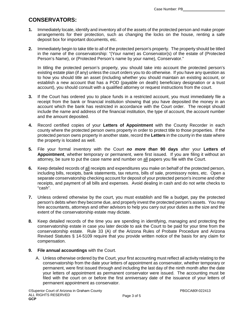# **CONSERVATORS:**

- **1.** Immediately locate, identify and inventory all of the assets of the protected person and make proper arrangements for their protection, such as changing the locks on the house, renting a safe deposit box for important documents, etc.
- **2.** Immediately begin to take title to all of the protected person's property. The property should be titled in the name of the conservatorship: "(Your name) as Conservator(s) of the estate of (Protected Person's Name), or (Protected Person's name by your name), Conservator."

In titling the protected person's property, you should take into account the protected person's existing estate plan (if any) unless the court orders you to do otherwise. If you have any question as to how you should title an asset (including whether you should maintain an existing account, or establish a new account that has a POD (payable on death) beneficiary designation or a trust account), you should consult with a qualified attorney or request instructions from the court.

- **3.** If the Court has ordered you to place funds in a restricted account, you must immediately file a receipt from the bank or financial institution showing that you have deposited the money in an account which the bank has restricted in accordance with the Court order. The receipt should include the name and address of the financial institution, the type of account, the account number and the amount deposited.
- **4.** Record certified copies of your **Letters of Appointment** with the County Recorder in each county where the protected person owns property in order to protect title to those properties. If the protected person owns property in another state, record the **Letters** in the county in the state where the property is located as well.
- **5.** File your formal inventory with the Court *no more than* **90 days** after your **Letters of Appointment**, whether temporary or permanent, were first issued. If you are filing it without an attorney, be sure to put the case name and number on all papers you file with the Court.
- **6.** Keep detailed records of all receipts and expenditures you make on behalf of the protected person, including bills, receipts, bank statements, tax returns, bills of sale, promissory notes, etc. Open a separate conservatorship checking account for deposit of your protected person's income and other receipts, and payment of all bills and expenses. Avoid dealing in cash and do not write checks to "cash".
- **7.** Unless ordered otherwise by the court, you must establish and file a budget, pay the protected person's debts when they become due, and properly invest the protected person's assets. You may hire accountants, attorneys and other advisors to help you carry out your duties as the size and the extent of the conservatorship estate may dictate.
- **8.** Keep detailed records of the time you are spending in identifying, managing and protecting the conservatorship estate in case you later decide to ask the Court to be paid for your time from the conservatorship estate. Rule 33 (A) of the Arizona Rules of Probate Procedure and Arizona Revised Statutes § 14-5109 require that you provide written notice of the basis for any claim for compensation.

#### **9. File annual accountings** with the Court.

A. Unless otherwise ordered by the Court, your first accounting must reflect all activity relating to the conservatorship from the date your letters of appointment as conservator*,* whether temporary or permanent, were first issued through and including the last day of the ninth month after the date your letters of appointment as permanent conservator were issued. The accounting must be filed with the court on or before the first anniversary date of the issuance of your letters of permanent appointment as conservator.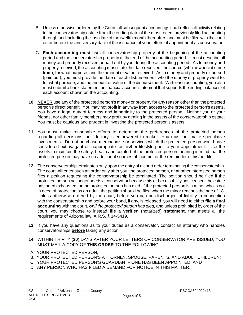- B. Unless otherwise ordered by the Court, all subsequent accountings shall reflect all activity relating to the conservatorship estate from the ending date of the most recent previously filed accounting through and including the last date of the twelfth month thereafter, and must be filed with the court on or before the anniversary date of the issuance of your letters of appointment as conservator.
- C. **Each accounting must list** all conservatorship property at the beginning of the accounting period and the conservatorship property at the end of the accounting period. It must describe all money and property received or paid out by you during the accounting period. As to money and property received, the accounting must state the date received, the source (who or where it came from), for what purpose, and the amount or value received. As to money and property disbursed (paid out), you must provide the date of each disbursement, who the money or property went to, for what purpose, and the amount or value of the disbursement. With each accounting, you also must submit a bank statement or financial account statement that supports the ending balances of each account shown on the accounting.
- **10. NEVER** use any of the protected person's money or property for any reason other than the protected person's direct benefit. You may not profit in any way from access to the protected person's assets. You have a legal duty of fairness and impartiality to the protected person. Neither you or your friends, nor other family members may profit by dealing in the assets of the conservatorship estate. You must be cautious and prudent in investing the protected person's assets.
- **11.** You must make reasonable efforts to determine the preferences of the protected person regarding all decisions the fiduciary is empowered to make. You must not make speculative investments. Do not purchase merchandise or services which the protected person would have considered extravagant or inappropriate for his/her lifestyle prior to your appointment. Use the assets to maintain the safety, health and comfort of the protected person, bearing in mind that the protected person may have no additional sources of income for the remainder of his/her life.
- **12.** The conservatorship terminates only upon the entry of a court order terminating the conservatorship. The court will enter such an order only after you, the protected person, or another interested person files a petition requesting the conservatorship be terminated. The petition should be filed if the protected person no longer needs a conservator because his or her disability has ceased, the estate has been exhausted, or the protected person has died. If the protected person is a minor who is not in need of protection as an adult, the petition should be filed when the minor reaches the age of 18. Unless otherwise ordered by the court, before you can be discharged of liability in connection with the conservatorship and before your bond, if any, is released, you will need to either **file a final accounting** with the court, *or if the protected person has died,* and unless prohibited by order of the court, you may choose to instead **file a verified** (notarized) **statement,** that meets all the requirements of Arizona law, A.R.S. § 14-5419.
- **13.** If you have any questions as to your duties as a conservator, contact an attorney who handles conservatorships **before** taking any action.
- **14.** WITHIN THIRTY (**30**) DAYS AFTER YOUR LETTERS OF CONSERVATOR ARE ISSUED, YOU MUST MAIL A COPY OF **THIS ORDER** TO THE FOLLOWING:
- A. YOUR PROTECTED PERSON;
- B. YOUR PROTECTED PERSON'S ATTORNEY, SPOUSE, PARENTS, AND ADULT CHILDREN;
- C. YOUR PROTECTED PERSON'S GUARDIAN IF ONE HAS BEEN APPOINTED; AND
- D. ANY PERSON WHO HAS FILED A DEMAND FOR NOTICE IN THIS MATTER.